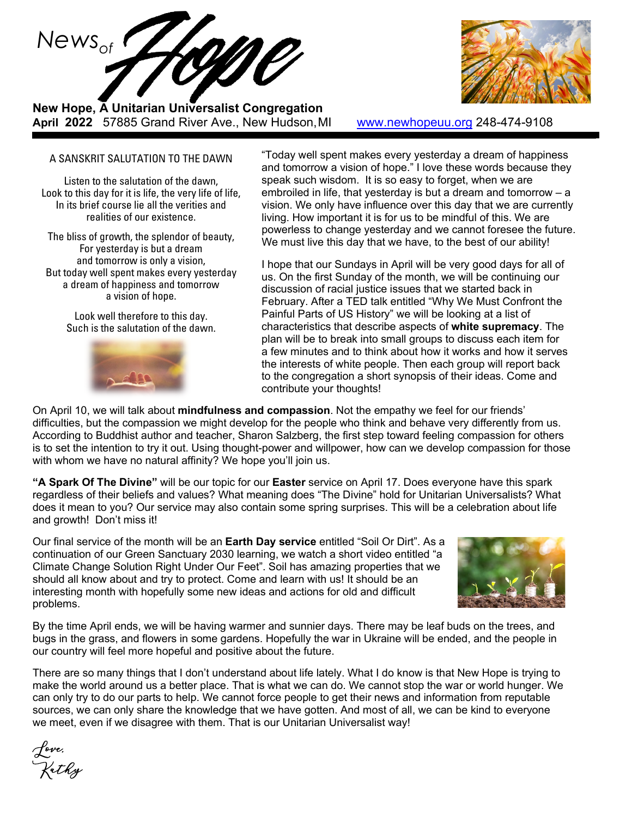

**New Hope, A Unitarian Universalist Congregation April 2022** 57885 Grand River Ave., New Hudson,MI [www.newhopeuu.org](http://www.newhopeuu.org/) 248-474-9108



#### A SANSKRIT SALUTATION TO THE DAWN

Listen to the salutation of the dawn, Look to this day for it is life, the very life of life, In its brief course lie all the verities and realities of our existence.

The bliss of growth, the splendor of beauty, For yesterday is but a dream and tomorrow is only a vision, But today well spent makes every yesterday a dream of happiness and tomorrow a vision of hope.

> Look well therefore to this day. Such is the salutation of the dawn.



"Today well spent makes every yesterday a dream of happiness and tomorrow a vision of hope." I love these words because they speak such wisdom. It is so easy to forget, when we are embroiled in life, that yesterday is but a dream and tomorrow – a vision. We only have influence over this day that we are currently living. How important it is for us to be mindful of this. We are powerless to change yesterday and we cannot foresee the future. We must live this day that we have, to the best of our ability!

I hope that our Sundays in April will be very good days for all of us. On the first Sunday of the month, we will be continuing our discussion of racial justice issues that we started back in February. After a TED talk entitled "Why We Must Confront the Painful Parts of US History" we will be looking at a list of characteristics that describe aspects of **white supremacy**. The plan will be to break into small groups to discuss each item for a few minutes and to think about how it works and how it serves the interests of white people. Then each group will report back to the congregation a short synopsis of their ideas. Come and contribute your thoughts!

On April 10, we will talk about **mindfulness and compassion**. Not the empathy we feel for our friends' difficulties, but the compassion we might develop for the people who think and behave very differently from us. According to Buddhist author and teacher, Sharon Salzberg, the first step toward feeling compassion for others is to set the intention to try it out. Using thought-power and willpower, how can we develop compassion for those with whom we have no natural affinity? We hope you'll join us.

**"A Spark Of The Divine"** will be our topic for our **Easter** service on April 17. Does everyone have this spark regardless of their beliefs and values? What meaning does "The Divine" hold for Unitarian Universalists? What does it mean to you? Our service may also contain some spring surprises. This will be a celebration about life and growth! Don't miss it!

Our final service of the month will be an **Earth Day service** entitled "Soil Or Dirt". As a continuation of our Green Sanctuary 2030 learning, we watch a short video entitled "a Climate Change Solution Right Under Our Feet". Soil has amazing properties that we should all know about and try to protect. Come and learn with us! It should be an interesting month with hopefully some new ideas and actions for old and difficult problems.



By the time April ends, we will be having warmer and sunnier days. There may be leaf buds on the trees, and bugs in the grass, and flowers in some gardens. Hopefully the war in Ukraine will be ended, and the people in our country will feel more hopeful and positive about the future.

There are so many things that I don't understand about life lately. What I do know is that New Hope is trying to make the world around us a better place. That is what we can do. We cannot stop the war or world hunger. We can only try to do our parts to help. We cannot force people to get their news and information from reputable sources, we can only share the knowledge that we have gotten. And most of all, we can be kind to everyone we meet, even if we disagree with them. That is our Unitarian Universalist way!

Love, Kathy